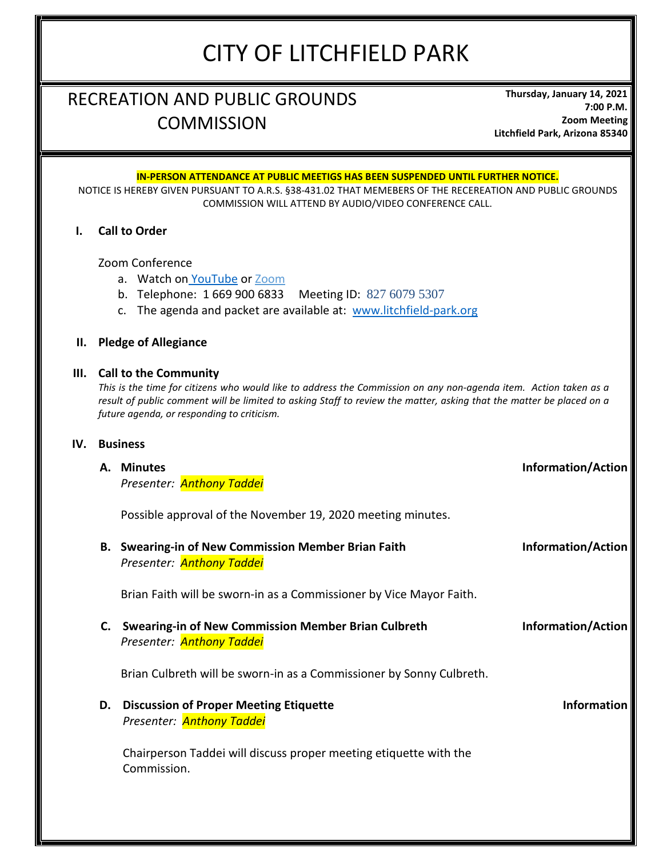# CITY OF LITCHFIELD PARK

# RECREATION AND PUBLIC GROUNDS **COMMISSION**

**Thursday, January 14, 2021 7:00 P.M. Zoom Meeting Litchfield Park, Arizona 85340**

|     |                      | <u>IN-PERSON ATTENDANCE AT PUBLIC MEETIGS HAS BEEN SUSPENDED UNTIL FURTHER NOTICE.</u><br>NOTICE IS HEREBY GIVEN PURSUANT TO A.R.S. §38-431.02 THAT MEMEBERS OF THE RECEREATION AND PUBLIC GROUNDS<br>COMMISSION WILL ATTEND BY AUDIO/VIDEO CONFERENCE CALL.                                                         |                           |  |  |  |
|-----|----------------------|----------------------------------------------------------------------------------------------------------------------------------------------------------------------------------------------------------------------------------------------------------------------------------------------------------------------|---------------------------|--|--|--|
| L.  | <b>Call to Order</b> |                                                                                                                                                                                                                                                                                                                      |                           |  |  |  |
|     |                      | Zoom Conference<br>a. Watch on YouTube or Zoom<br>b. Telephone: 1 669 900 6833 Meeting ID: 827 6079 5307<br>The agenda and packet are available at: www.litchfield-park.org<br>$\mathsf{C}$ .                                                                                                                        |                           |  |  |  |
| Н.  |                      | <b>Pledge of Allegiance</b>                                                                                                                                                                                                                                                                                          |                           |  |  |  |
|     |                      | III. Call to the Community<br>This is the time for citizens who would like to address the Commission on any non-agenda item. Action taken as a<br>result of public comment will be limited to asking Staff to review the matter, asking that the matter be placed on a<br>future agenda, or responding to criticism. |                           |  |  |  |
| IV. |                      | <b>Business</b>                                                                                                                                                                                                                                                                                                      |                           |  |  |  |
|     |                      | A. Minutes<br>Presenter: <b>Anthony Taddei</b>                                                                                                                                                                                                                                                                       | <b>Information/Action</b> |  |  |  |
|     |                      | Possible approval of the November 19, 2020 meeting minutes.                                                                                                                                                                                                                                                          |                           |  |  |  |
|     |                      | B. Swearing-in of New Commission Member Brian Faith<br>Presenter: <b>Anthony Taddei</b>                                                                                                                                                                                                                              | <b>Information/Action</b> |  |  |  |
|     |                      | Brian Faith will be sworn-in as a Commissioner by Vice Mayor Faith.                                                                                                                                                                                                                                                  |                           |  |  |  |
|     |                      | C. Swearing-in of New Commission Member Brian Culbreth<br>Presenter: <b>Anthony Taddei</b>                                                                                                                                                                                                                           | <b>Information/Action</b> |  |  |  |
|     |                      | Brian Culbreth will be sworn-in as a Commissioner by Sonny Culbreth.                                                                                                                                                                                                                                                 |                           |  |  |  |
|     | D.                   | <b>Discussion of Proper Meeting Etiquette</b><br>Presenter: <b>Anthony Taddei</b>                                                                                                                                                                                                                                    | <b>Information</b>        |  |  |  |
|     |                      | Chairperson Taddei will discuss proper meeting etiquette with the<br>Commission.                                                                                                                                                                                                                                     |                           |  |  |  |
|     |                      |                                                                                                                                                                                                                                                                                                                      |                           |  |  |  |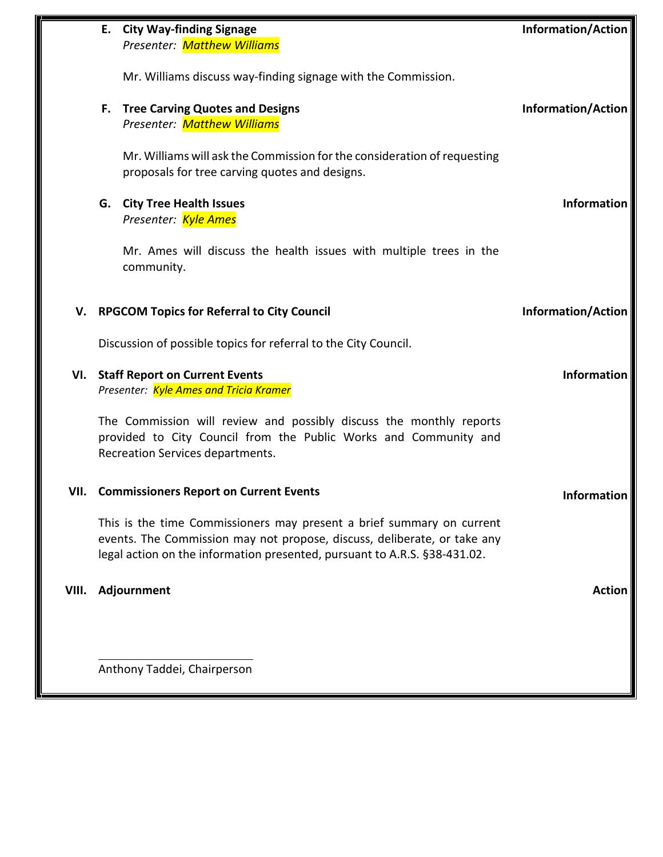|       |                                                                                | E. City Way-finding Signage<br>Presenter: Matthew Williams                                                                                                                                                                     | <b>Information/Action</b> |  |
|-------|--------------------------------------------------------------------------------|--------------------------------------------------------------------------------------------------------------------------------------------------------------------------------------------------------------------------------|---------------------------|--|
|       |                                                                                | Mr. Williams discuss way-finding signage with the Commission.                                                                                                                                                                  |                           |  |
|       |                                                                                | F. Tree Carving Quotes and Designs<br>Presenter: Matthew Williams                                                                                                                                                              | <b>Information/Action</b> |  |
|       |                                                                                | Mr. Williams will ask the Commission for the consideration of requesting<br>proposals for tree carving quotes and designs.                                                                                                     |                           |  |
|       |                                                                                | G. City Tree Health Issues<br>Presenter: Kyle Ames                                                                                                                                                                             | Information               |  |
|       |                                                                                | Mr. Ames will discuss the health issues with multiple trees in the<br>community.                                                                                                                                               |                           |  |
| v.    | <b>RPGCOM Topics for Referral to City Council</b><br><b>Information/Action</b> |                                                                                                                                                                                                                                |                           |  |
|       |                                                                                | Discussion of possible topics for referral to the City Council.                                                                                                                                                                |                           |  |
|       |                                                                                | VI. Staff Report on Current Events<br>Presenter: Kyle Ames and Tricia Kramer                                                                                                                                                   | Information               |  |
|       |                                                                                | The Commission will review and possibly discuss the monthly reports<br>provided to City Council from the Public Works and Community and<br>Recreation Services departments.                                                    |                           |  |
|       |                                                                                | <b>VII. Commissioners Report on Current Events</b>                                                                                                                                                                             | <b>Information</b>        |  |
|       |                                                                                | This is the time Commissioners may present a brief summary on current<br>events. The Commission may not propose, discuss, deliberate, or take any<br>legal action on the information presented, pursuant to A.R.S. §38-431.02. |                           |  |
| VIII. |                                                                                | Adjournment                                                                                                                                                                                                                    | <b>Action</b>             |  |
|       |                                                                                |                                                                                                                                                                                                                                |                           |  |
|       |                                                                                | Anthony Taddei, Chairperson                                                                                                                                                                                                    |                           |  |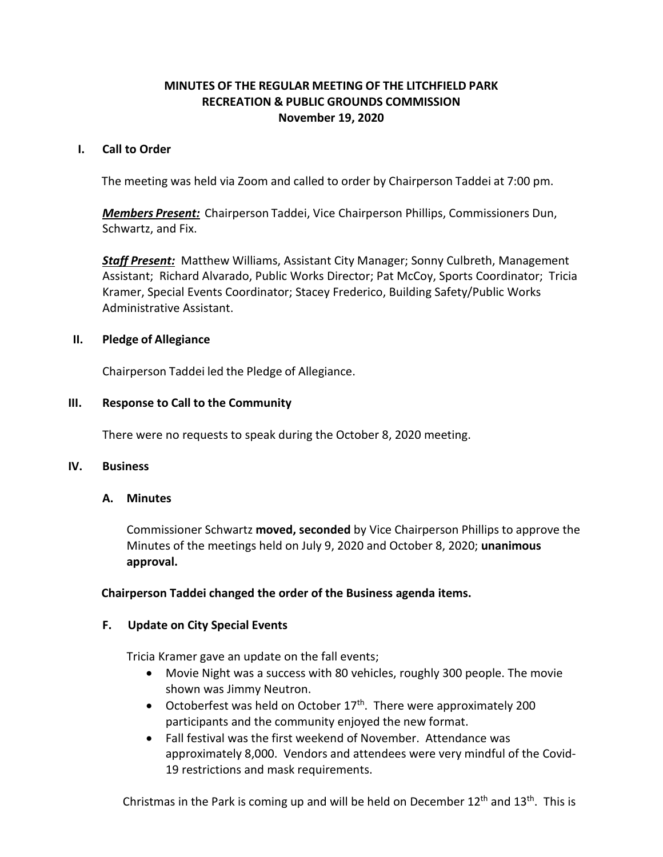## **MINUTES OF THE REGULAR MEETING OF THE LITCHFIELD PARK RECREATION & PUBLIC GROUNDS COMMISSION November 19, 2020**

#### <span id="page-2-0"></span>**I. Call to Order**

The meeting was held via Zoom and called to order by Chairperson Taddei at 7:00 pm.

*Members Present:* Chairperson Taddei, Vice Chairperson Phillips, Commissioners Dun, Schwartz, and Fix.

*Staff Present:* Matthew Williams, Assistant City Manager; Sonny Culbreth, Management Assistant; Richard Alvarado, Public Works Director; Pat McCoy, Sports Coordinator; Tricia Kramer, Special Events Coordinator; Stacey Frederico, Building Safety/Public Works Administrative Assistant.

#### **II. Pledge of Allegiance**

Chairperson Taddei led the Pledge of Allegiance.

#### **III. Response to Call to the Community**

There were no requests to speak during the October 8, 2020 meeting.

#### **IV. Business**

#### **A. Minutes**

Commissioner Schwartz **moved, seconded** by Vice Chairperson Phillips to approve the Minutes of the meetings held on July 9, 2020 and October 8, 2020; **unanimous approval.**

#### **Chairperson Taddei changed the order of the Business agenda items.**

#### **F. Update on City Special Events**

Tricia Kramer gave an update on the fall events;

- Movie Night was a success with 80 vehicles, roughly 300 people. The movie shown was Jimmy Neutron.
- Octoberfest was held on October  $17<sup>th</sup>$ . There were approximately 200 participants and the community enjoyed the new format.
- Fall festival was the first weekend of November. Attendance was approximately 8,000. Vendors and attendees were very mindful of the Covid-19 restrictions and mask requirements.

Christmas in the Park is coming up and will be held on December  $12<sup>th</sup>$  and  $13<sup>th</sup>$ . This is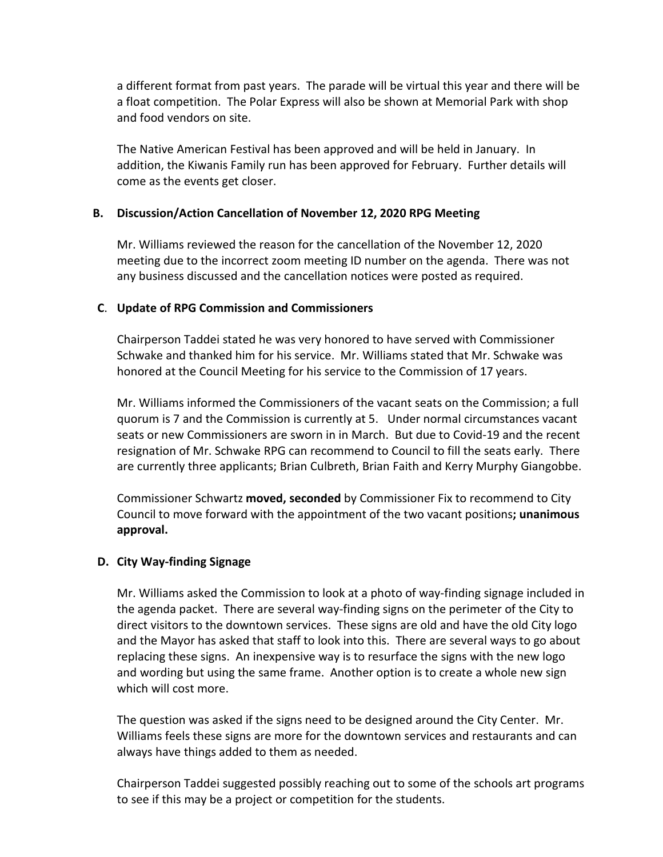a different format from past years. The parade will be virtual this year and there will be a float competition. The Polar Express will also be shown at Memorial Park with shop and food vendors on site.

The Native American Festival has been approved and will be held in January. In addition, the Kiwanis Family run has been approved for February. Further details will come as the events get closer.

#### **B. Discussion/Action Cancellation of November 12, 2020 RPG Meeting**

Mr. Williams reviewed the reason for the cancellation of the November 12, 2020 meeting due to the incorrect zoom meeting ID number on the agenda. There was not any business discussed and the cancellation notices were posted as required.

### **C**. **Update of RPG Commission and Commissioners**

Chairperson Taddei stated he was very honored to have served with Commissioner Schwake and thanked him for his service. Mr. Williams stated that Mr. Schwake was honored at the Council Meeting for his service to the Commission of 17 years.

Mr. Williams informed the Commissioners of the vacant seats on the Commission; a full quorum is 7 and the Commission is currently at 5. Under normal circumstances vacant seats or new Commissioners are sworn in in March. But due to Covid-19 and the recent resignation of Mr. Schwake RPG can recommend to Council to fill the seats early. There are currently three applicants; Brian Culbreth, Brian Faith and Kerry Murphy Giangobbe.

Commissioner Schwartz **moved, seconded** by Commissioner Fix to recommend to City Council to move forward with the appointment of the two vacant positions**; unanimous approval.**

# **D. City Way-finding Signage**

Mr. Williams asked the Commission to look at a photo of way-finding signage included in the agenda packet. There are several way-finding signs on the perimeter of the City to direct visitors to the downtown services. These signs are old and have the old City logo and the Mayor has asked that staff to look into this. There are several ways to go about replacing these signs. An inexpensive way is to resurface the signs with the new logo and wording but using the same frame. Another option is to create a whole new sign which will cost more.

The question was asked if the signs need to be designed around the City Center. Mr. Williams feels these signs are more for the downtown services and restaurants and can always have things added to them as needed.

Chairperson Taddei suggested possibly reaching out to some of the schools art programs to see if this may be a project or competition for the students.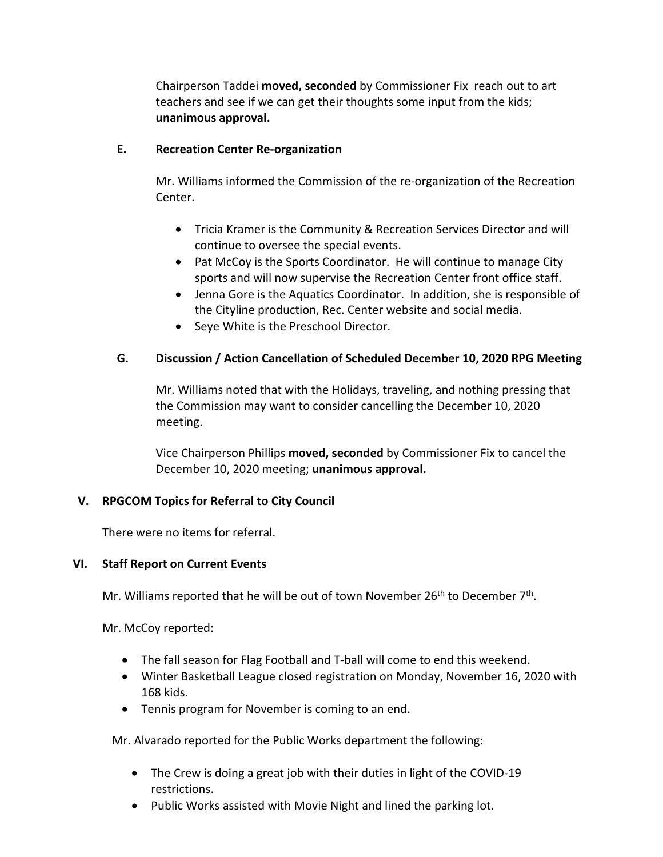Chairperson Taddei **moved, seconded** by Commissioner Fix reach out to art teachers and see if we can get their thoughts some input from the kids; **unanimous approval.**

### **E. Recreation Center Re-organization**

Mr. Williams informed the Commission of the re-organization of the Recreation Center.

- Tricia Kramer is the Community & Recreation Services Director and will continue to oversee the special events.
- Pat McCoy is the Sports Coordinator. He will continue to manage City sports and will now supervise the Recreation Center front office staff.
- Jenna Gore is the Aquatics Coordinator. In addition, she is responsible of the Cityline production, Rec. Center website and social media.
- Seye White is the Preschool Director.

# **G. Discussion / Action Cancellation of Scheduled December 10, 2020 RPG Meeting**

Mr. Williams noted that with the Holidays, traveling, and nothing pressing that the Commission may want to consider cancelling the December 10, 2020 meeting.

Vice Chairperson Phillips **moved, seconded** by Commissioner Fix to cancel the December 10, 2020 meeting; **unanimous approval.**

# **V. RPGCOM Topics for Referral to City Council**

There were no items for referral.

#### **VI. Staff Report on Current Events**

Mr. Williams reported that he will be out of town November  $26<sup>th</sup>$  to December  $7<sup>th</sup>$ .

Mr. McCoy reported:

- The fall season for Flag Football and T-ball will come to end this weekend.
- Winter Basketball League closed registration on Monday, November 16, 2020 with 168 kids.
- Tennis program for November is coming to an end.

Mr. Alvarado reported for the Public Works department the following:

- The Crew is doing a great job with their duties in light of the COVID-19 restrictions.
- Public Works assisted with Movie Night and lined the parking lot.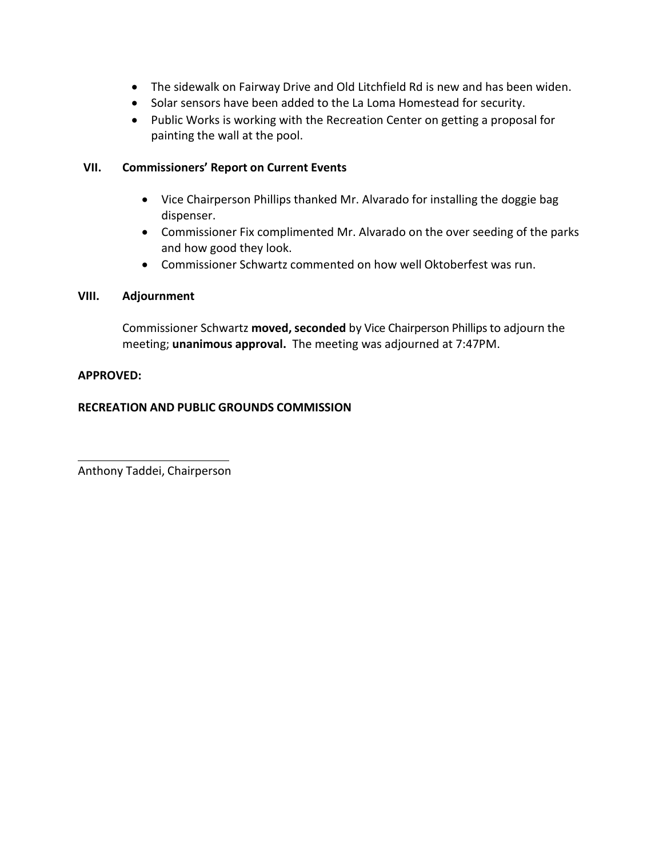- The sidewalk on Fairway Drive and Old Litchfield Rd is new and has been widen.
- Solar sensors have been added to the La Loma Homestead for security.
- Public Works is working with the Recreation Center on getting a proposal for painting the wall at the pool.

## **VII. Commissioners' Report on Current Events**

- Vice Chairperson Phillips thanked Mr. Alvarado for installing the doggie bag dispenser.
- Commissioner Fix complimented Mr. Alvarado on the over seeding of the parks and how good they look.
- Commissioner Schwartz commented on how well Oktoberfest was run.

### **VIII. Adjournment**

Commissioner Schwartz **moved, seconded** by Vice Chairperson Phillipsto adjourn the meeting; **unanimous approval.** The meeting was adjourned at 7:47PM.

### **APPROVED:**

# **RECREATION AND PUBLIC GROUNDS COMMISSION**

Anthony Taddei, Chairperson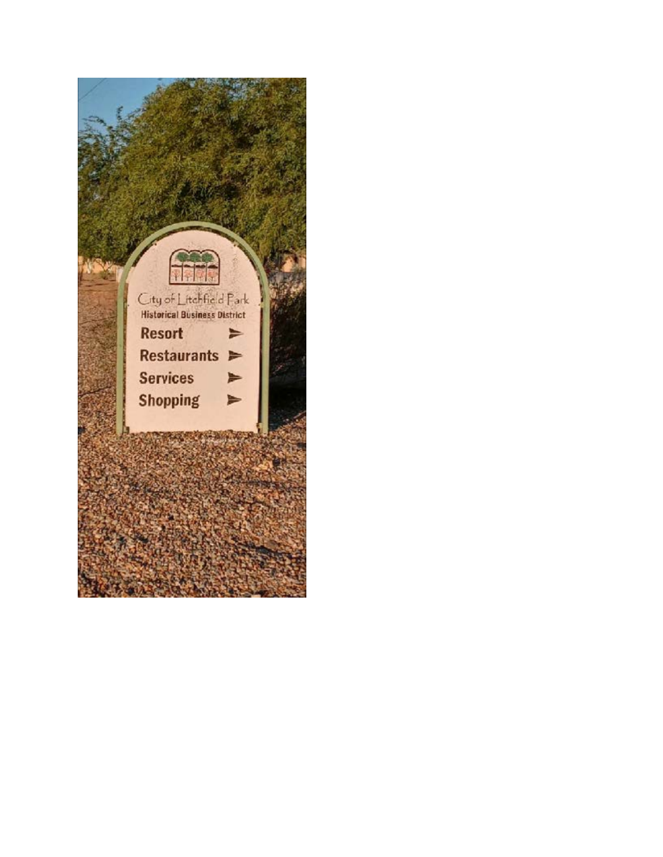<span id="page-6-0"></span>